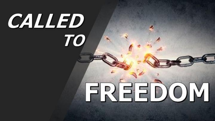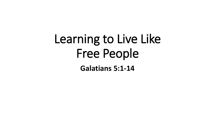## Learning to Live Like Free People **Galatians 5:1-14**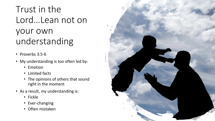Trust in the Lord…Lean not on your own understanding

- Proverbs 3:5-6
- My understanding is too often led by:
	- Emotion
	- Limited facts
	- The opinions of others that sound right in the moment
- As a result, my understanding is:
	- Fickle
	- Ever-changing
	- Often mistaken

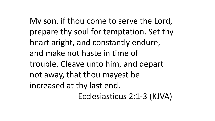My son, if thou come to serve the Lord, prepare thy soul for temptation. Set thy heart aright, and constantly endure, and make not haste in time of trouble. Cleave unto him, and depart not away, that thou mayest be increased at thy last end. Ecclesiasticus 2:1-3 (KJVA)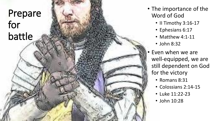## Prepare for battle

- The importance of the Word of God
	- Il Timothy 3:16-17
	- Ephesians 6:17
	- Matthew 4:1-11
	- John 8:32
- Even when we are well -equipped, we are still dependent on God for the victory
	- Romans 8:31
	- Colossians 2:14 -15
	- Luke 11:22 -23
	- John 10:28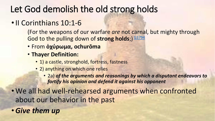## Let God demolish the old strong holds

• Il Corinthians 10:1-6

(For the weapons of our warfare *are* not carnal, but mighty through God to the pulling down of strong holds;) **[G3794](num:G3794)** 

- From **ὀχύρωμα, ochurōma**
- **Thayer Definition:**
	- 1) a castle, stronghold, fortress, fastness
	- 2) anything on which one relies
		- 2a) *of the arguments and reasonings by which a disputant endeavors to fortify his opinion and defend it against his opponent*

• We all had well-rehearsed arguments when confronted about our behavior in the past

•*Give them up*